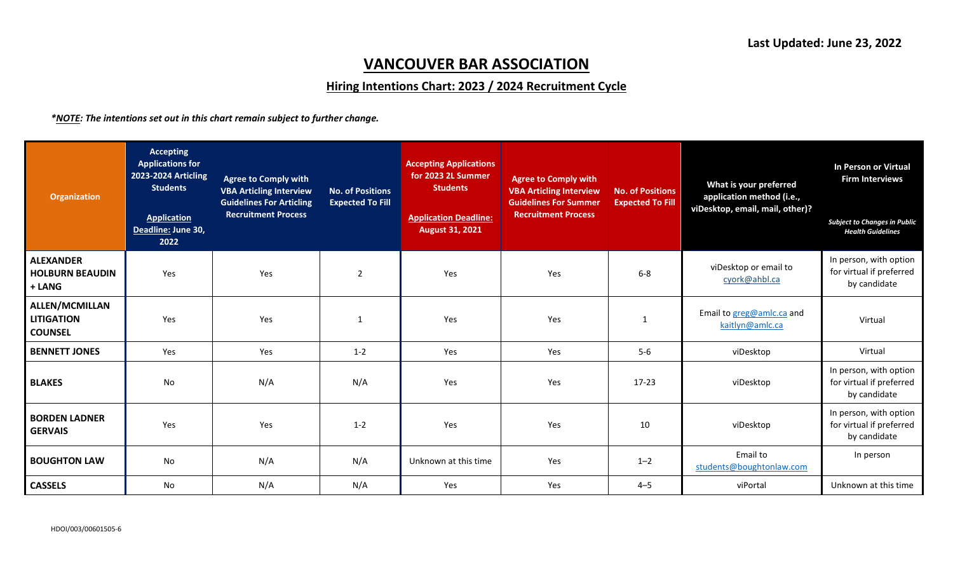## **VANCOUVER BAR ASSOCIATION**

## **Hiring Intentions Chart: 2023 / 2024 Recruitment Cycle**

*\*NOTE: The intentions set out in this chart remain subject to further change.*

| Organization                                                 | <b>Accepting</b><br><b>Applications for</b><br>2023-2024 Articling<br><b>Students</b><br><b>Application</b><br>Deadline: June 30,<br>2022 | <b>Agree to Comply with</b><br><b>VBA Articling Interview</b><br><b>Guidelines For Articling</b><br><b>Recruitment Process</b> | <b>No. of Positions</b><br><b>Expected To Fill</b> | <b>Accepting Applications</b><br>for 2023 2L Summer<br><b>Students</b><br><b>Application Deadline:</b><br><b>August 31, 2021</b> | <b>Agree to Comply with</b><br><b>VBA Articling Interview</b><br><b>Guidelines For Summer</b><br><b>Recruitment Process</b> | <b>No. of Positions</b><br><b>Expected To Fill</b> | What is your preferred<br>application method (i.e.,<br>viDesktop, email, mail, other)? | In Person or Virtual<br><b>Firm Interviews</b><br><b>Subject to Changes in Public</b><br><b>Health Guidelines</b> |
|--------------------------------------------------------------|-------------------------------------------------------------------------------------------------------------------------------------------|--------------------------------------------------------------------------------------------------------------------------------|----------------------------------------------------|----------------------------------------------------------------------------------------------------------------------------------|-----------------------------------------------------------------------------------------------------------------------------|----------------------------------------------------|----------------------------------------------------------------------------------------|-------------------------------------------------------------------------------------------------------------------|
| <b>ALEXANDER</b><br><b>HOLBURN BEAUDIN</b><br>+ LANG         | Yes                                                                                                                                       | Yes                                                                                                                            | $\overline{2}$                                     | Yes                                                                                                                              | Yes                                                                                                                         | $6-8$                                              | viDesktop or email to<br>cyork@ahbl.ca                                                 | In person, with option<br>for virtual if preferred<br>by candidate                                                |
| <b>ALLEN/MCMILLAN</b><br><b>LITIGATION</b><br><b>COUNSEL</b> | Yes                                                                                                                                       | Yes                                                                                                                            | 1                                                  | Yes                                                                                                                              | Yes                                                                                                                         | $\mathbf{1}$                                       | Email to greg@amlc.ca and<br>kaitlyn@amlc.ca                                           | Virtual                                                                                                           |
| <b>BENNETT JONES</b>                                         | Yes                                                                                                                                       | Yes                                                                                                                            | $1 - 2$                                            | Yes                                                                                                                              | Yes                                                                                                                         | $5-6$                                              | viDesktop                                                                              | Virtual                                                                                                           |
| <b>BLAKES</b>                                                | No                                                                                                                                        | N/A                                                                                                                            | N/A                                                | Yes                                                                                                                              | Yes                                                                                                                         | $17 - 23$                                          | viDesktop                                                                              | In person, with option<br>for virtual if preferred<br>by candidate                                                |
| <b>BORDEN LADNER</b><br><b>GERVAIS</b>                       | Yes                                                                                                                                       | Yes                                                                                                                            | $1 - 2$                                            | Yes                                                                                                                              | Yes                                                                                                                         | 10                                                 | viDesktop                                                                              | In person, with option<br>for virtual if preferred<br>by candidate                                                |
| <b>BOUGHTON LAW</b>                                          | No                                                                                                                                        | N/A                                                                                                                            | N/A                                                | Unknown at this time                                                                                                             | Yes                                                                                                                         | $1 - 2$                                            | Email to<br>students@boughtonlaw.com                                                   | In person                                                                                                         |
| <b>CASSELS</b>                                               | No                                                                                                                                        | N/A                                                                                                                            | N/A                                                | Yes                                                                                                                              | Yes                                                                                                                         | $4 - 5$                                            | viPortal                                                                               | Unknown at this time                                                                                              |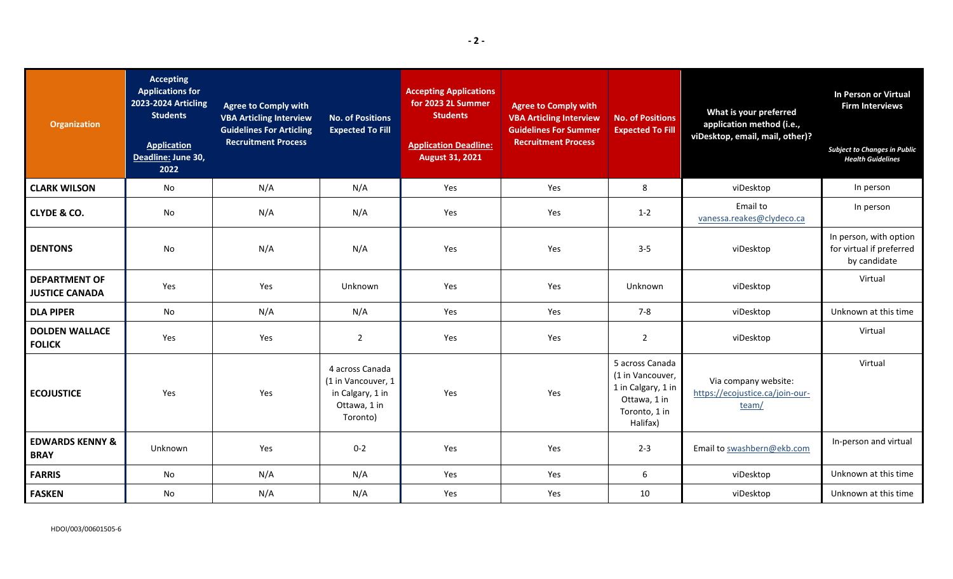| <b>Organization</b>                           | <b>Accepting</b><br><b>Applications for</b><br>2023-2024 Articling<br><b>Students</b><br><b>Application</b><br>Deadline: June 30,<br>2022 | <b>Agree to Comply with</b><br><b>VBA Articling Interview</b><br><b>Guidelines For Articling</b><br><b>Recruitment Process</b> | <b>No. of Positions</b><br><b>Expected To Fill</b>                                    | <b>Accepting Applications</b><br>for 2023 2L Summer<br><b>Students</b><br><b>Application Deadline:</b><br><b>August 31, 2021</b> | <b>Agree to Comply with</b><br><b>VBA Articling Interview</b><br><b>Guidelines For Summer</b><br><b>Recruitment Process</b> | <b>No. of Positions</b><br><b>Expected To Fill</b>                                                     | What is your preferred<br>application method (i.e.,<br>viDesktop, email, mail, other)? | In Person or Virtual<br><b>Firm Interviews</b><br><b>Subject to Changes in Public</b><br><b>Health Guidelines</b> |
|-----------------------------------------------|-------------------------------------------------------------------------------------------------------------------------------------------|--------------------------------------------------------------------------------------------------------------------------------|---------------------------------------------------------------------------------------|----------------------------------------------------------------------------------------------------------------------------------|-----------------------------------------------------------------------------------------------------------------------------|--------------------------------------------------------------------------------------------------------|----------------------------------------------------------------------------------------|-------------------------------------------------------------------------------------------------------------------|
| <b>CLARK WILSON</b>                           | <b>No</b>                                                                                                                                 | N/A                                                                                                                            | N/A                                                                                   | Yes                                                                                                                              | Yes                                                                                                                         | 8                                                                                                      | viDesktop                                                                              | In person                                                                                                         |
| <b>CLYDE &amp; CO.</b>                        | No                                                                                                                                        | N/A                                                                                                                            | N/A                                                                                   | Yes                                                                                                                              | Yes                                                                                                                         | $1 - 2$                                                                                                | Email to<br>vanessa.reakes@clydeco.ca                                                  | In person                                                                                                         |
| <b>DENTONS</b>                                | No                                                                                                                                        | N/A                                                                                                                            | N/A                                                                                   | Yes                                                                                                                              | Yes                                                                                                                         | $3 - 5$                                                                                                | viDesktop                                                                              | In person, with option<br>for virtual if preferred<br>by candidate                                                |
| <b>DEPARTMENT OF</b><br><b>JUSTICE CANADA</b> | Yes                                                                                                                                       | Yes                                                                                                                            | Unknown                                                                               | Yes                                                                                                                              | Yes                                                                                                                         | Unknown                                                                                                | viDesktop                                                                              | Virtual                                                                                                           |
| <b>DLA PIPER</b>                              | No                                                                                                                                        | N/A                                                                                                                            | N/A                                                                                   | Yes                                                                                                                              | Yes                                                                                                                         | $7 - 8$                                                                                                | viDesktop                                                                              | Unknown at this time                                                                                              |
| <b>DOLDEN WALLACE</b><br><b>FOLICK</b>        | Yes                                                                                                                                       | Yes                                                                                                                            | $\overline{2}$                                                                        | Yes                                                                                                                              | Yes                                                                                                                         | $\overline{2}$                                                                                         | viDesktop                                                                              | Virtual                                                                                                           |
| <b>ECOJUSTICE</b>                             | Yes                                                                                                                                       | Yes                                                                                                                            | 4 across Canada<br>(1 in Vancouver, 1<br>in Calgary, 1 in<br>Ottawa, 1 in<br>Toronto) | Yes                                                                                                                              | Yes                                                                                                                         | 5 across Canada<br>(1 in Vancouver,<br>1 in Calgary, 1 in<br>Ottawa, 1 in<br>Toronto, 1 in<br>Halifax) | Via company website:<br>https://ecojustice.ca/join-our-<br>team/                       | Virtual                                                                                                           |
| <b>EDWARDS KENNY &amp;</b><br><b>BRAY</b>     | Unknown                                                                                                                                   | Yes                                                                                                                            | $0 - 2$                                                                               | Yes                                                                                                                              | Yes                                                                                                                         | $2 - 3$                                                                                                | Email to swashbern@ekb.com                                                             | In-person and virtual                                                                                             |
| <b>FARRIS</b>                                 | No                                                                                                                                        | N/A                                                                                                                            | N/A                                                                                   | Yes                                                                                                                              | Yes                                                                                                                         | 6                                                                                                      | viDesktop                                                                              | Unknown at this time                                                                                              |
| <b>FASKEN</b>                                 | <b>No</b>                                                                                                                                 | N/A                                                                                                                            | N/A                                                                                   | Yes                                                                                                                              | Yes                                                                                                                         | 10                                                                                                     | viDesktop                                                                              | Unknown at this time                                                                                              |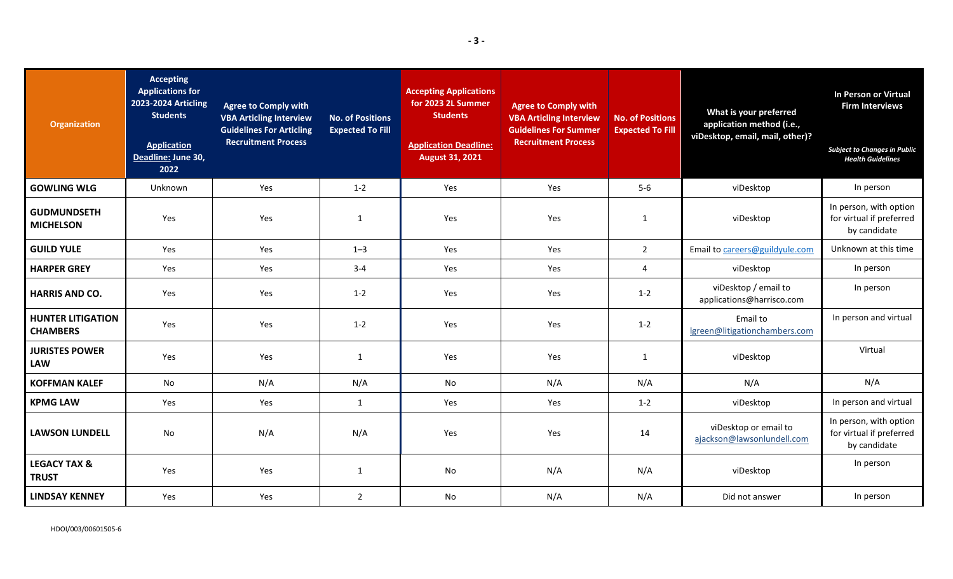| <b>Organization</b>                         | <b>Accepting</b><br><b>Applications for</b><br>2023-2024 Articling<br><b>Students</b><br><b>Application</b><br>Deadline: June 30,<br>2022 | <b>Agree to Comply with</b><br><b>VBA Articling Interview</b><br><b>Guidelines For Articling</b><br><b>Recruitment Process</b> | <b>No. of Positions</b><br><b>Expected To Fill</b> | <b>Accepting Applications</b><br>for 2023 2L Summer<br><b>Students</b><br><b>Application Deadline:</b><br><b>August 31, 2021</b> | <b>Agree to Comply with</b><br><b>VBA Articling Interview</b><br><b>Guidelines For Summer</b><br><b>Recruitment Process</b> | <b>No. of Positions</b><br><b>Expected To Fill</b> | What is your preferred<br>application method (i.e.,<br>viDesktop, email, mail, other)? | In Person or Virtual<br><b>Firm Interviews</b><br><b>Subject to Changes in Public</b><br><b>Health Guidelines</b> |
|---------------------------------------------|-------------------------------------------------------------------------------------------------------------------------------------------|--------------------------------------------------------------------------------------------------------------------------------|----------------------------------------------------|----------------------------------------------------------------------------------------------------------------------------------|-----------------------------------------------------------------------------------------------------------------------------|----------------------------------------------------|----------------------------------------------------------------------------------------|-------------------------------------------------------------------------------------------------------------------|
| <b>GOWLING WLG</b>                          | Unknown                                                                                                                                   | Yes                                                                                                                            | $1 - 2$                                            | Yes                                                                                                                              | Yes                                                                                                                         | $5-6$                                              | viDesktop                                                                              | In person                                                                                                         |
| <b>GUDMUNDSETH</b><br><b>MICHELSON</b>      | Yes                                                                                                                                       | Yes                                                                                                                            | $\mathbf{1}$                                       | Yes                                                                                                                              | Yes                                                                                                                         | $\mathbf{1}$                                       | viDesktop                                                                              | In person, with option<br>for virtual if preferred<br>by candidate                                                |
| <b>GUILD YULE</b>                           | Yes                                                                                                                                       | Yes                                                                                                                            | $1 - 3$                                            | Yes                                                                                                                              | Yes                                                                                                                         | $\overline{2}$                                     | Email to careers@guildyule.com                                                         | Unknown at this time                                                                                              |
| <b>HARPER GREY</b>                          | Yes                                                                                                                                       | Yes                                                                                                                            | $3 - 4$                                            | Yes                                                                                                                              | Yes                                                                                                                         | 4                                                  | viDesktop                                                                              | In person                                                                                                         |
| <b>HARRIS AND CO.</b>                       | Yes                                                                                                                                       | Yes                                                                                                                            | $1 - 2$                                            | Yes                                                                                                                              | Yes                                                                                                                         | $1 - 2$                                            | viDesktop / email to<br>applications@harrisco.com                                      | In person                                                                                                         |
| <b>HUNTER LITIGATION</b><br><b>CHAMBERS</b> | Yes                                                                                                                                       | Yes                                                                                                                            | $1 - 2$                                            | Yes                                                                                                                              | Yes                                                                                                                         | $1 - 2$                                            | Email to<br>lgreen@litigationchambers.com                                              | In person and virtual                                                                                             |
| <b>JURISTES POWER</b><br><b>LAW</b>         | Yes                                                                                                                                       | Yes                                                                                                                            | 1                                                  | Yes                                                                                                                              | Yes                                                                                                                         | $\mathbf{1}$                                       | viDesktop                                                                              | Virtual                                                                                                           |
| <b>KOFFMAN KALEF</b>                        | No                                                                                                                                        | N/A                                                                                                                            | N/A                                                | No                                                                                                                               | N/A                                                                                                                         | N/A                                                | N/A                                                                                    | N/A                                                                                                               |
| <b>KPMG LAW</b>                             | Yes                                                                                                                                       | Yes                                                                                                                            | $\mathbf{1}$                                       | Yes                                                                                                                              | Yes                                                                                                                         | $1 - 2$                                            | viDesktop                                                                              | In person and virtual                                                                                             |
| <b>LAWSON LUNDELL</b>                       | No                                                                                                                                        | N/A                                                                                                                            | N/A                                                | Yes                                                                                                                              | Yes                                                                                                                         | 14                                                 | viDesktop or email to<br>ajackson@lawsonlundell.com                                    | In person, with option<br>for virtual if preferred<br>by candidate                                                |
| <b>LEGACY TAX &amp;</b><br><b>TRUST</b>     | Yes                                                                                                                                       | Yes                                                                                                                            | 1                                                  | No                                                                                                                               | N/A                                                                                                                         | N/A                                                | viDesktop                                                                              | In person                                                                                                         |
| <b>LINDSAY KENNEY</b>                       | Yes                                                                                                                                       | Yes                                                                                                                            | $\overline{2}$                                     | <b>No</b>                                                                                                                        | N/A                                                                                                                         | N/A                                                | Did not answer                                                                         | In person                                                                                                         |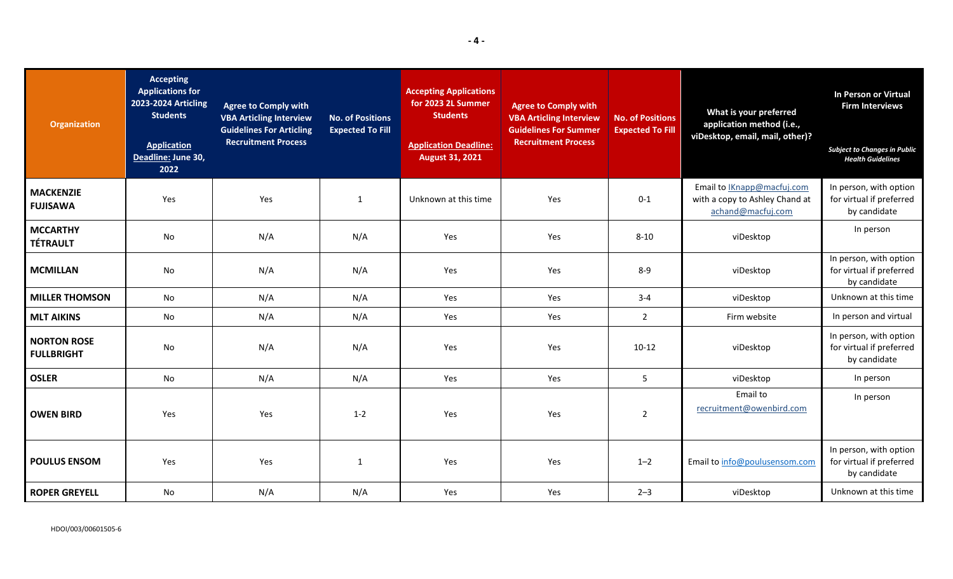| <b>Organization</b>                     | <b>Accepting</b><br><b>Applications for</b><br>2023-2024 Articling<br><b>Students</b><br><b>Application</b><br>Deadline: June 30,<br>2022 | <b>Agree to Comply with</b><br><b>VBA Articling Interview</b><br><b>Guidelines For Articling</b><br><b>Recruitment Process</b> | <b>No. of Positions</b><br><b>Expected To Fill</b> | <b>Accepting Applications</b><br>for 2023 2L Summer<br><b>Students</b><br><b>Application Deadline:</b><br><b>August 31, 2021</b> | <b>Agree to Comply with</b><br><b>VBA Articling Interview</b><br><b>Guidelines For Summer</b><br><b>Recruitment Process</b> | <b>No. of Positions</b><br><b>Expected To Fill</b> | What is your preferred<br>application method (i.e.,<br>viDesktop, email, mail, other)?  | In Person or Virtual<br><b>Firm Interviews</b><br><b>Subject to Changes in Public</b><br><b>Health Guidelines</b> |
|-----------------------------------------|-------------------------------------------------------------------------------------------------------------------------------------------|--------------------------------------------------------------------------------------------------------------------------------|----------------------------------------------------|----------------------------------------------------------------------------------------------------------------------------------|-----------------------------------------------------------------------------------------------------------------------------|----------------------------------------------------|-----------------------------------------------------------------------------------------|-------------------------------------------------------------------------------------------------------------------|
| <b>MACKENZIE</b><br><b>FUJISAWA</b>     | Yes                                                                                                                                       | Yes                                                                                                                            | $\mathbf{1}$                                       | Unknown at this time                                                                                                             | Yes                                                                                                                         | $0 - 1$                                            | Email to <b>Knapp@macfuj.com</b><br>with a copy to Ashley Chand at<br>achand@macfuj.com | In person, with option<br>for virtual if preferred<br>by candidate                                                |
| <b>MCCARTHY</b><br><b>TÉTRAULT</b>      | <b>No</b>                                                                                                                                 | N/A                                                                                                                            | N/A                                                | Yes                                                                                                                              | Yes                                                                                                                         | $8 - 10$                                           | viDesktop                                                                               | In person                                                                                                         |
| <b>MCMILLAN</b>                         | <b>No</b>                                                                                                                                 | N/A                                                                                                                            | N/A                                                | Yes                                                                                                                              | Yes                                                                                                                         | $8 - 9$                                            | viDesktop                                                                               | In person, with option<br>for virtual if preferred<br>by candidate                                                |
| <b>MILLER THOMSON</b>                   | No                                                                                                                                        | N/A                                                                                                                            | N/A                                                | Yes                                                                                                                              | Yes                                                                                                                         | $3 - 4$                                            | viDesktop                                                                               | Unknown at this time                                                                                              |
| <b>MLT AIKINS</b>                       | No                                                                                                                                        | N/A                                                                                                                            | N/A                                                | Yes                                                                                                                              | Yes                                                                                                                         | $\overline{2}$                                     | Firm website                                                                            | In person and virtual                                                                                             |
| <b>NORTON ROSE</b><br><b>FULLBRIGHT</b> | No                                                                                                                                        | N/A                                                                                                                            | N/A                                                | Yes                                                                                                                              | Yes                                                                                                                         | $10-12$                                            | viDesktop                                                                               | In person, with option<br>for virtual if preferred<br>by candidate                                                |
| <b>OSLER</b>                            | No                                                                                                                                        | N/A                                                                                                                            | N/A                                                | Yes                                                                                                                              | Yes                                                                                                                         | 5                                                  | viDesktop                                                                               | In person                                                                                                         |
| <b>OWEN BIRD</b>                        | Yes                                                                                                                                       | Yes                                                                                                                            | $1 - 2$                                            | Yes                                                                                                                              | Yes                                                                                                                         | $\overline{2}$                                     | Email to<br>recruitment@owenbird.com                                                    | In person                                                                                                         |
| <b>POULUS ENSOM</b>                     | Yes                                                                                                                                       | Yes                                                                                                                            | $\mathbf{1}$                                       | Yes                                                                                                                              | Yes                                                                                                                         | $1 - 2$                                            | Email to info@poulusensom.com                                                           | In person, with option<br>for virtual if preferred<br>by candidate                                                |
| <b>ROPER GREYELL</b>                    | No                                                                                                                                        | N/A                                                                                                                            | N/A                                                | Yes                                                                                                                              | Yes                                                                                                                         | $2 - 3$                                            | viDesktop                                                                               | Unknown at this time                                                                                              |

HDOI/003/00601505-6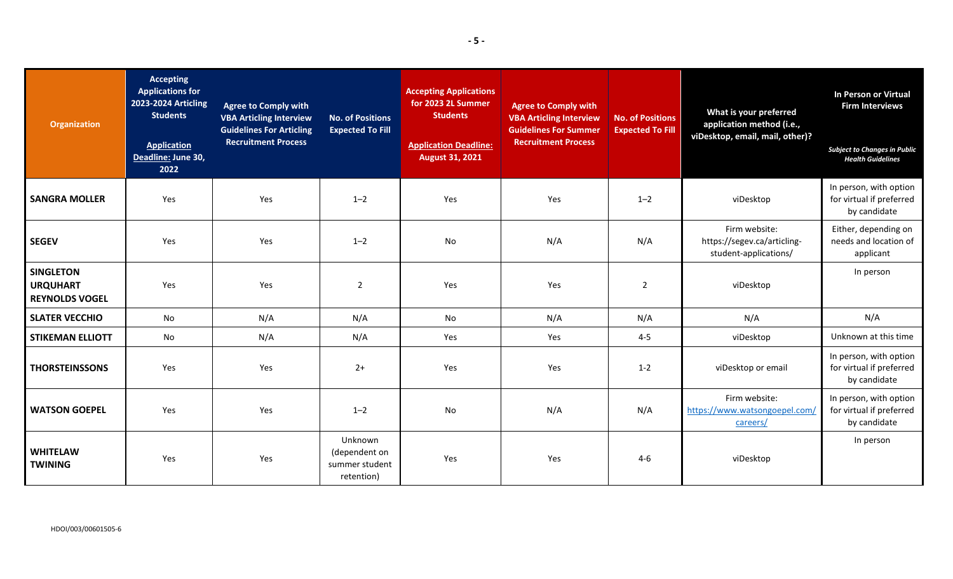| <b>Organization</b>                                          | <b>Accepting</b><br><b>Applications for</b><br><b>2023-2024 Articling</b><br><b>Students</b><br><b>Application</b><br>Deadline: June 30,<br>2022 | <b>Agree to Comply with</b><br><b>VBA Articling Interview</b><br><b>Guidelines For Articling</b><br><b>Recruitment Process</b> | <b>No. of Positions</b><br><b>Expected To Fill</b>       | <b>Accepting Applications</b><br>for 2023 2L Summer<br><b>Students</b><br><b>Application Deadline:</b><br><b>August 31, 2021</b> | <b>Agree to Comply with</b><br><b>VBA Articling Interview</b><br><b>Guidelines For Summer</b><br><b>Recruitment Process</b> | <b>No. of Positions</b><br><b>Expected To Fill</b> | What is your preferred<br>application method (i.e.,<br>viDesktop, email, mail, other)? | In Person or Virtual<br><b>Firm Interviews</b><br><b>Subject to Changes in Public</b><br><b>Health Guidelines</b> |
|--------------------------------------------------------------|--------------------------------------------------------------------------------------------------------------------------------------------------|--------------------------------------------------------------------------------------------------------------------------------|----------------------------------------------------------|----------------------------------------------------------------------------------------------------------------------------------|-----------------------------------------------------------------------------------------------------------------------------|----------------------------------------------------|----------------------------------------------------------------------------------------|-------------------------------------------------------------------------------------------------------------------|
| <b>SANGRA MOLLER</b>                                         | Yes                                                                                                                                              | Yes                                                                                                                            | $1 - 2$                                                  | Yes                                                                                                                              | Yes                                                                                                                         | $1 - 2$                                            | viDesktop                                                                              | In person, with option<br>for virtual if preferred<br>by candidate                                                |
| <b>SEGEV</b>                                                 | Yes                                                                                                                                              | Yes                                                                                                                            | $1 - 2$                                                  | No                                                                                                                               | N/A                                                                                                                         | N/A                                                | Firm website:<br>https://segev.ca/articling-<br>student-applications/                  | Either, depending on<br>needs and location of<br>applicant                                                        |
| <b>SINGLETON</b><br><b>URQUHART</b><br><b>REYNOLDS VOGEL</b> | Yes                                                                                                                                              | Yes                                                                                                                            | $\overline{2}$                                           | Yes                                                                                                                              | Yes                                                                                                                         | $\overline{2}$                                     | viDesktop                                                                              | In person                                                                                                         |
| <b>SLATER VECCHIO</b>                                        | No                                                                                                                                               | N/A                                                                                                                            | N/A                                                      | No                                                                                                                               | N/A                                                                                                                         | N/A                                                | N/A                                                                                    | N/A                                                                                                               |
| <b>STIKEMAN ELLIOTT</b>                                      | No                                                                                                                                               | N/A                                                                                                                            | N/A                                                      | Yes                                                                                                                              | Yes                                                                                                                         | $4 - 5$                                            | viDesktop                                                                              | Unknown at this time                                                                                              |
| <b>THORSTEINSSONS</b>                                        | Yes                                                                                                                                              | Yes                                                                                                                            | $2+$                                                     | Yes                                                                                                                              | Yes                                                                                                                         | $1 - 2$                                            | viDesktop or email                                                                     | In person, with option<br>for virtual if preferred<br>by candidate                                                |
| <b>WATSON GOEPEL</b>                                         | Yes                                                                                                                                              | Yes                                                                                                                            | $1 - 2$                                                  | No                                                                                                                               | N/A                                                                                                                         | N/A                                                | Firm website:<br>https://www.watsongoepel.com/<br>careers/                             | In person, with option<br>for virtual if preferred<br>by candidate                                                |
| <b>WHITELAW</b><br><b>TWINING</b>                            | Yes                                                                                                                                              | Yes                                                                                                                            | Unknown<br>(dependent on<br>summer student<br>retention) | Yes                                                                                                                              | Yes                                                                                                                         | $4 - 6$                                            | viDesktop                                                                              | In person                                                                                                         |